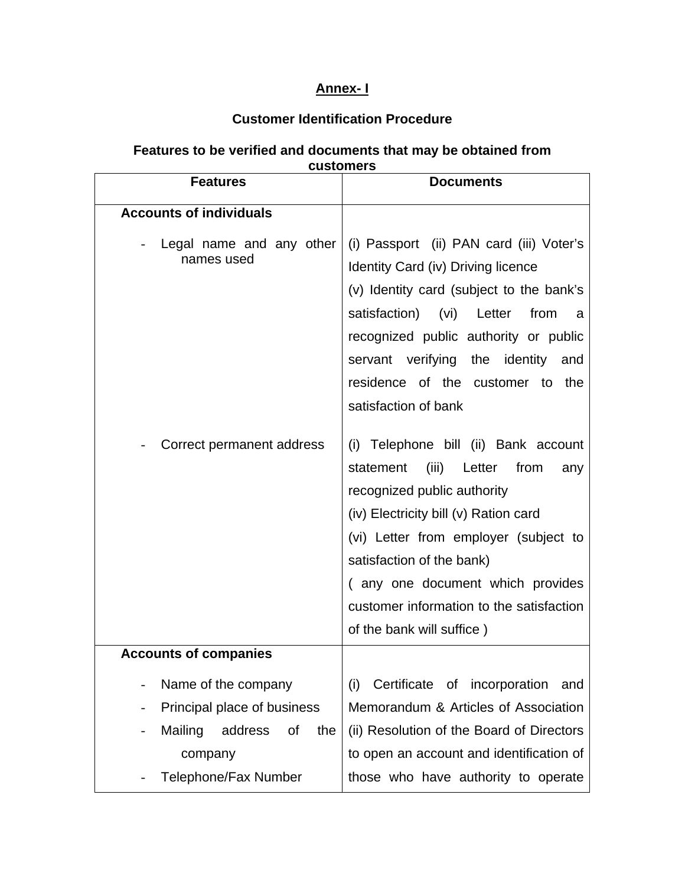## **Annex- I**

## **Customer Identification Procedure**

## **Features to be verified and documents that may be obtained from customers**

| <b>Accounts of individuals</b>                                                                                                  |                                                                                                                                                                                                                                                                                                                                                               |
|---------------------------------------------------------------------------------------------------------------------------------|---------------------------------------------------------------------------------------------------------------------------------------------------------------------------------------------------------------------------------------------------------------------------------------------------------------------------------------------------------------|
| Legal name and any other<br>names used<br>Correct permanent address                                                             | (i) Passport (ii) PAN card (iii) Voter's<br>Identity Card (iv) Driving licence<br>(v) Identity card (subject to the bank's<br>satisfaction) (vi) Letter<br>from<br>a<br>recognized public authority or public<br>servant verifying the identity<br>and<br>residence of the customer to<br>the<br>satisfaction of bank<br>(i) Telephone bill (ii) Bank account |
|                                                                                                                                 | (iii)<br>statement<br>Letter<br>from<br>any<br>recognized public authority<br>(iv) Electricity bill (v) Ration card<br>(vi) Letter from employer (subject to<br>satisfaction of the bank)<br>(any one document which provides<br>customer information to the satisfaction<br>of the bank will suffice)                                                        |
| <b>Accounts of companies</b>                                                                                                    |                                                                                                                                                                                                                                                                                                                                                               |
| Name of the company<br>Principal place of business<br>Mailing<br>address<br>of<br>the<br>company<br><b>Telephone/Fax Number</b> | Certificate of incorporation<br>(i)<br>and<br>Memorandum & Articles of Association<br>(ii) Resolution of the Board of Directors<br>to open an account and identification of<br>those who have authority to operate                                                                                                                                            |